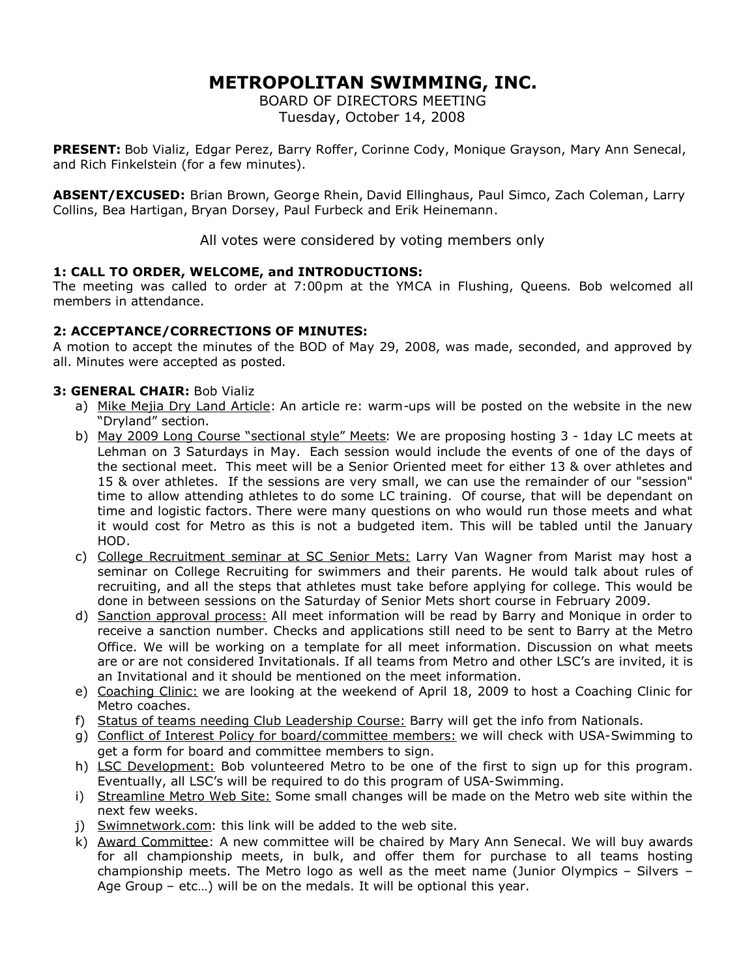# **METROPOLITAN SWIMMING, INC.**

BOARD OF DIRECTORS MEETING Tuesday, October 14, 2008

**PRESENT:** Bob Vializ, Edgar Perez, Barry Roffer, Corinne Cody, Monique Grayson, Mary Ann Senecal, and Rich Finkelstein (for a few minutes).

**ABSENT/EXCUSED:** Brian Brown, George Rhein, David Ellinghaus, Paul Simco, Zach Coleman, Larry Collins, Bea Hartigan, Bryan Dorsey, Paul Furbeck and Erik Heinemann.

All votes were considered by voting members only

## **1: CALL TO ORDER, WELCOME, and INTRODUCTIONS:**

The meeting was called to order at 7:00pm at the YMCA in Flushing, Queens. Bob welcomed all members in attendance.

## **2: ACCEPTANCE/CORRECTIONS OF MINUTES:**

A motion to accept the minutes of the BOD of May 29, 2008, was made, seconded, and approved by all. Minutes were accepted as posted.

## **3: GENERAL CHAIR:** Bob Vializ

- a) Mike Mejia Dry Land Article: An article re: warm-ups will be posted on the website in the new "Dryland" section.
- b) May 2009 Long Course "sectional style" Meets: We are proposing hosting 3 1day LC meets at Lehman on 3 Saturdays in May. Each session would include the events of one of the days of the sectional meet. This meet will be a Senior Oriented meet for either 13 & over athletes and 15 & over athletes. If the sessions are very small, we can use the remainder of our "session" time to allow attending athletes to do some LC training. Of course, that will be dependant on time and logistic factors. There were many questions on who would run those meets and what it would cost for Metro as this is not a budgeted item. This will be tabled until the January HOD.
- c) College Recruitment seminar at SC Senior Mets: Larry Van Wagner from Marist may host a seminar on College Recruiting for swimmers and their parents. He would talk about rules of recruiting, and all the steps that athletes must take before applying for college. This would be done in between sessions on the Saturday of Senior Mets short course in February 2009.
- d) Sanction approval process: All meet information will be read by Barry and Monique in order to receive a sanction number. Checks and applications still need to be sent to Barry at the Metro Office. We will be working on a template for all meet information. Discussion on what meets are or are not considered Invitationals. If all teams from Metro and other LSC's are invited, it is an Invitational and it should be mentioned on the meet information.
- e) Coaching Clinic: we are looking at the weekend of April 18, 2009 to host a Coaching Clinic for Metro coaches.
- f) Status of teams needing Club Leadership Course: Barry will get the info from Nationals.
- g) Conflict of Interest Policy for board/committee members: we will check with USA-Swimming to get a form for board and committee members to sign.
- h) LSC Development: Bob volunteered Metro to be one of the first to sign up for this program. Eventually, all LSC's will be required to do this program of USA-Swimming.
- i) Streamline Metro Web Site: Some small changes will be made on the Metro web site within the next few weeks.
- j) Swimnetwork.com: this link will be added to the web site.
- k) Award Committee: A new committee will be chaired by Mary Ann Senecal. We will buy awards for all championship meets, in bulk, and offer them for purchase to all teams hosting championship meets. The Metro logo as well as the meet name (Junior Olympics – Silvers – Age Group – etc…) will be on the medals. It will be optional this year.